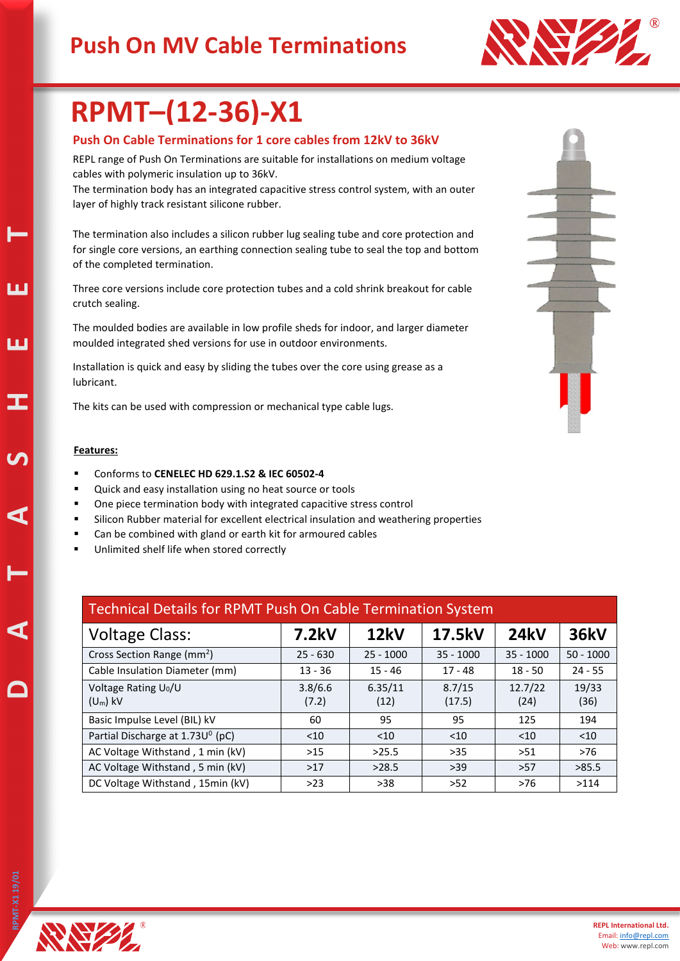### **Push On MV Cable Terminations**



# **RPMT–(12-36)-X1**

#### **Push On Cable Terminations for 1 core cables from 12kV to 36kV**

REPL range of Push On Terminations are suitable for installations on medium voltage cables with polymeric insulation up to 36kV.

The termination body has an integrated capacitive stress control system, with an outer layer of highly track resistant silicone rubber.

The termination also includes a silicon rubber lug sealing tube and core protection and for single core versions, an earthing connection sealing tube to seal the top and bottom of the completed termination.

Three core versions include core protection tubes and a cold shrink breakout for cable crutch sealing.

The moulded bodies are available in low profile sheds for indoor, and larger diameter moulded integrated shed versions for use in outdoor environments.

Installation is quick and easy by sliding the tubes over the core using grease as a lubricant.

The kits can be used with compression or mechanical type cable lugs.

#### **Features:**

**D A T A S H E E T** 

ய

ய

- Conforms to **CENELEC HD 629.1.S2 & IEC 60502-4**
- Quick and easy installation using no heat source or tools
- One piece termination body with integrated capacitive stress control
- Silicon Rubber material for excellent electrical insulation and weathering properties
- Can be combined with gland or earth kit for armoured cables
- Unlimited shelf life when stored correctly

| <b>Technical Details for RPMT Push On Cable Termination System</b> |                  |                 |                  |                 |               |  |  |  |
|--------------------------------------------------------------------|------------------|-----------------|------------------|-----------------|---------------|--|--|--|
| <b>Voltage Class:</b>                                              | 7.2kV            | 12kV            | 17.5kV           | <b>24kV</b>     | <b>36kV</b>   |  |  |  |
| Cross Section Range (mm <sup>2</sup> )                             | $25 - 630$       | $25 - 1000$     | $35 - 1000$      | $35 - 1000$     | $50 - 1000$   |  |  |  |
| Cable Insulation Diameter (mm)                                     | $13 - 36$        | $15 - 46$       | $17 - 48$        | $18 - 50$       | $24 - 55$     |  |  |  |
| Voltage Rating U <sub>0</sub> /U<br>$(U_m)$ kV                     | 3.8/6.6<br>(7.2) | 6.35/11<br>(12) | 8.7/15<br>(17.5) | 12.7/22<br>(24) | 19/33<br>(36) |  |  |  |
| Basic Impulse Level (BIL) kV                                       | 60               | 95              | 95               | 125             | 194           |  |  |  |
| Partial Discharge at 1.73U <sup>0</sup> (pC)                       | $<$ 10           | < 10            | $<$ 10           | < 10            | $<$ 10        |  |  |  |
| AC Voltage Withstand, 1 min (kV)                                   | >15              | >25.5           | >35              | >51             | $>76$         |  |  |  |
| AC Voltage Withstand, 5 min (kV)                                   | $>17$            | >28.5           | $>39$            | >57             | >85.5         |  |  |  |
| DC Voltage Withstand, 15min (kV)                                   | $>23$            | $>38$           | $>52$            | $>76$           | >114          |  |  |  |